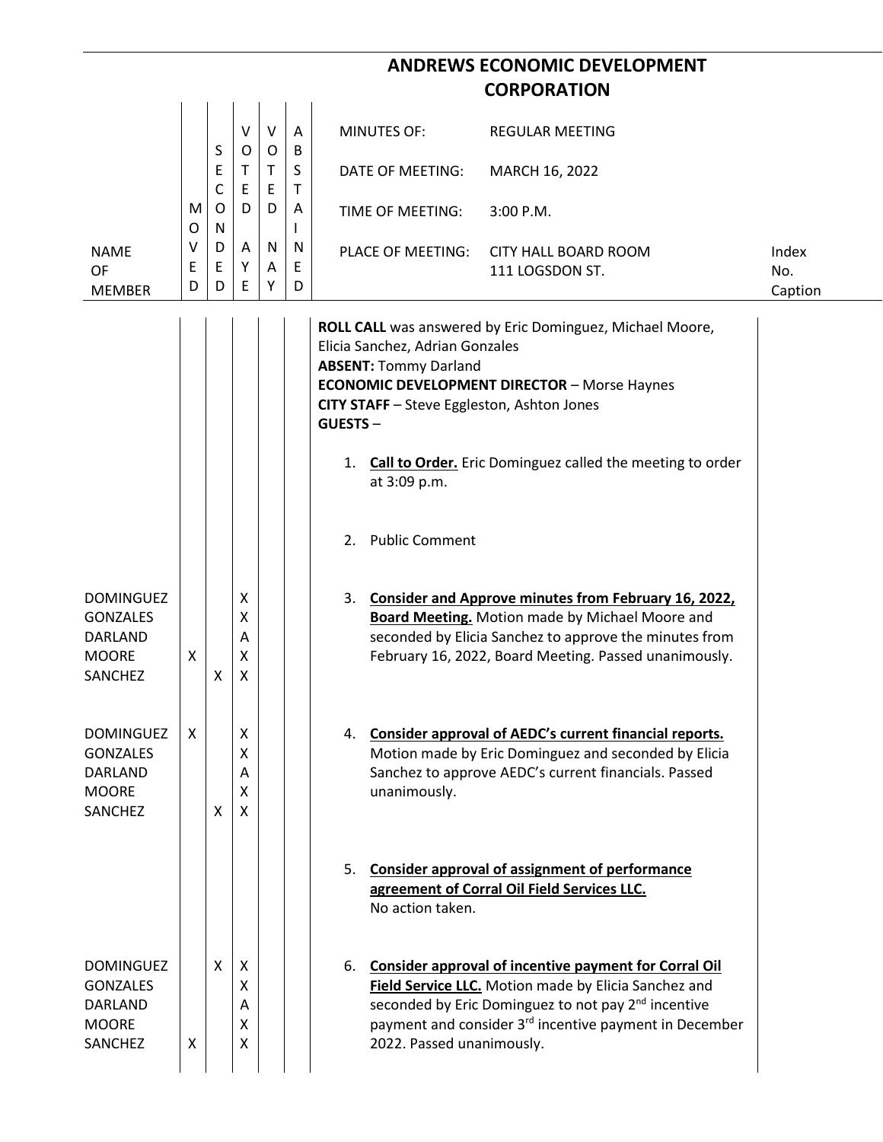|                                                                                  |             |                  |                       |                        |                  |                                                                                                                                                 | <b>ANDREWS ECONOMIC DEVELOPMENT</b>                                                                                                                                                                                                                       |                         |
|----------------------------------------------------------------------------------|-------------|------------------|-----------------------|------------------------|------------------|-------------------------------------------------------------------------------------------------------------------------------------------------|-----------------------------------------------------------------------------------------------------------------------------------------------------------------------------------------------------------------------------------------------------------|-------------------------|
|                                                                                  |             |                  |                       |                        |                  |                                                                                                                                                 | <b>CORPORATION</b>                                                                                                                                                                                                                                        |                         |
|                                                                                  |             | S                | $\vee$<br>O           | $\vee$<br>$\mathsf O$  | A<br>B           | <b>MINUTES OF:</b>                                                                                                                              | <b>REGULAR MEETING</b>                                                                                                                                                                                                                                    |                         |
|                                                                                  |             | E<br>C           | $\mathsf T$<br>E      | T<br>$\mathsf E$       | S<br>$\mathsf T$ | DATE OF MEETING:                                                                                                                                | MARCH 16, 2022                                                                                                                                                                                                                                            |                         |
|                                                                                  | M<br>O      | $\mathsf O$<br>N | D                     | D                      | A<br>L           | TIME OF MEETING:                                                                                                                                | 3:00 P.M.                                                                                                                                                                                                                                                 |                         |
| <b>NAME</b><br>OF<br><b>MEMBER</b>                                               | ٧<br>E<br>D | D<br>E<br>D      | A<br>Υ<br>Ε           | $\mathsf{N}$<br>Α<br>Υ | N<br>Ε<br>D      | PLACE OF MEETING:                                                                                                                               | <b>CITY HALL BOARD ROOM</b><br>111 LOGSDON ST.                                                                                                                                                                                                            | Index<br>No.<br>Caption |
|                                                                                  |             |                  |                       |                        |                  | Elicia Sanchez, Adrian Gonzales<br><b>ABSENT: Tommy Darland</b><br>CITY STAFF - Steve Eggleston, Ashton Jones<br><b>GUESTS-</b><br>at 3:09 p.m. | ROLL CALL was answered by Eric Dominguez, Michael Moore,<br><b>ECONOMIC DEVELOPMENT DIRECTOR - Morse Haynes</b><br>1. Call to Order. Eric Dominguez called the meeting to order                                                                           |                         |
|                                                                                  |             |                  |                       |                        |                  | <b>Public Comment</b><br>2.                                                                                                                     |                                                                                                                                                                                                                                                           |                         |
| <b>DOMINGUEZ</b><br><b>GONZALES</b><br>DARLAND<br><b>MOORE</b><br>SANCHEZ        | X           | X                | х<br>Χ<br>Α<br>X<br>X |                        |                  | 3.                                                                                                                                              | <b>Consider and Approve minutes from February 16, 2022,</b><br><b>Board Meeting.</b> Motion made by Michael Moore and<br>seconded by Elicia Sanchez to approve the minutes from<br>February 16, 2022, Board Meeting. Passed unanimously.                  |                         |
| <b>DOMINGUEZ</b><br><b>GONZALES</b><br>DARLAND<br><b>MOORE</b><br><b>SANCHEZ</b> | X           | X                | X<br>X<br>A<br>X<br>X |                        |                  | unanimously.                                                                                                                                    | 4. Consider approval of AEDC's current financial reports.<br>Motion made by Eric Dominguez and seconded by Elicia<br>Sanchez to approve AEDC's current financials. Passed                                                                                 |                         |
|                                                                                  |             |                  |                       |                        |                  | No action taken.                                                                                                                                | 5. Consider approval of assignment of performance<br>agreement of Corral Oil Field Services LLC.                                                                                                                                                          |                         |
| <b>DOMINGUEZ</b><br><b>GONZALES</b><br><b>DARLAND</b><br><b>MOORE</b><br>SANCHEZ | Χ           | X                | X<br>X<br>Α<br>X<br>X |                        |                  | 2022. Passed unanimously.                                                                                                                       | 6. Consider approval of incentive payment for Corral Oil<br>Field Service LLC. Motion made by Elicia Sanchez and<br>seconded by Eric Dominguez to not pay 2 <sup>nd</sup> incentive<br>payment and consider 3 <sup>rd</sup> incentive payment in December |                         |